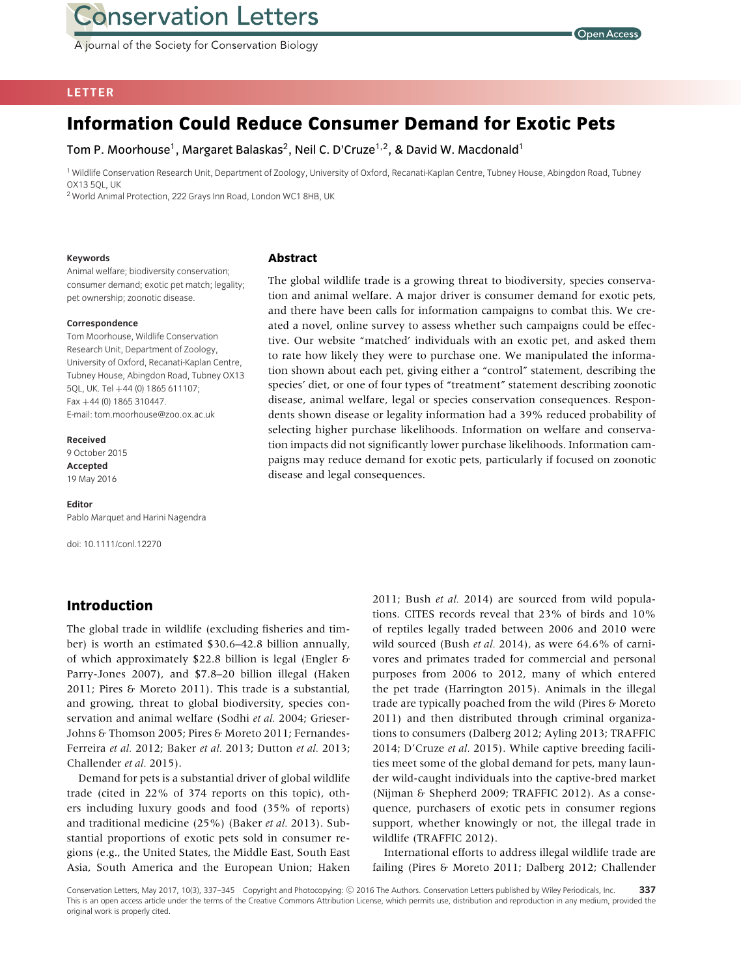A journal of the Society for Conservation Biology



## **LETTER**

# **Information Could Reduce Consumer Demand for Exotic Pets**

Tom P. Moorhouse<sup>1</sup>, Margaret Balaskas<sup>2</sup>, Neil C. D'Cruze<sup>1,2</sup>, & David W. Macdonald<sup>1</sup>

**Abstract**

<sup>1</sup> Wildlife Conservation Research Unit, Department of Zoology, University of Oxford, Recanati-Kaplan Centre, Tubney House, Abingdon Road, Tubney OX13 5QL, UK

<sup>2</sup> World Animal Protection, 222 Grays Inn Road, London WC1 8HB, UK

#### **Keywords**

Animal welfare; biodiversity conservation; consumer demand; exotic pet match; legality; pet ownership; zoonotic disease.

#### **Correspondence**

Tom Moorhouse, Wildlife Conservation Research Unit, Department of Zoology, University of Oxford, Recanati-Kaplan Centre, Tubney House, Abingdon Road, Tubney OX13 5QL, UK. Tel +44 (0) 1865 611107; Fax +44 (0) 1865 310447. E-mail: tom.moorhouse@zoo.ox.ac.uk

#### **Received**

9 October 2015 **Accepted** 19 May 2016

#### **Editor**

Pablo Marquet and Harini Nagendra

doi: 10.1111/conl.12270

## **Introduction**

The global trade in wildlife (excluding fisheries and timber) is worth an estimated \$30.6–42.8 billion annually, of which approximately \$22.8 billion is legal (Engler & Parry-Jones 2007), and \$7.8–20 billion illegal (Haken 2011; Pires & Moreto 2011). This trade is a substantial, and growing, threat to global biodiversity, species conservation and animal welfare (Sodhi *et al.* 2004; Grieser-Johns & Thomson 2005; Pires & Moreto 2011; Fernandes-Ferreira *et al.* 2012; Baker *et al.* 2013; Dutton *et al.* 2013; Challender *et al.* 2015).

Demand for pets is a substantial driver of global wildlife trade (cited in 22% of 374 reports on this topic), others including luxury goods and food (35% of reports) and traditional medicine (25%) (Baker *et al.* 2013). Substantial proportions of exotic pets sold in consumer regions (e.g., the United States, the Middle East, South East Asia, South America and the European Union; Haken

and there have been calls for information campaigns to combat this. We created a novel, online survey to assess whether such campaigns could be effective. Our website "matched' individuals with an exotic pet, and asked them to rate how likely they were to purchase one. We manipulated the information shown about each pet, giving either a "control" statement, describing the species' diet, or one of four types of "treatment" statement describing zoonotic disease, animal welfare, legal or species conservation consequences. Respondents shown disease or legality information had a 39% reduced probability of selecting higher purchase likelihoods. Information on welfare and conservation impacts did not significantly lower purchase likelihoods. Information campaigns may reduce demand for exotic pets, particularly if focused on zoonotic disease and legal consequences.

The global wildlife trade is a growing threat to biodiversity, species conservation and animal welfare. A major driver is consumer demand for exotic pets,

> 2011; Bush *et al.* 2014) are sourced from wild populations. CITES records reveal that 23% of birds and 10% of reptiles legally traded between 2006 and 2010 were wild sourced (Bush *et al.* 2014), as were 64.6% of carnivores and primates traded for commercial and personal purposes from 2006 to 2012, many of which entered the pet trade (Harrington 2015). Animals in the illegal trade are typically poached from the wild (Pires & Moreto 2011) and then distributed through criminal organizations to consumers (Dalberg 2012; Ayling 2013; TRAFFIC 2014; D'Cruze *et al.* 2015). While captive breeding facilities meet some of the global demand for pets, many launder wild-caught individuals into the captive-bred market (Nijman & Shepherd 2009; TRAFFIC 2012). As a consequence, purchasers of exotic pets in consumer regions support, whether knowingly or not, the illegal trade in wildlife (TRAFFIC 2012).

> International efforts to address illegal wildlife trade are failing (Pires & Moreto 2011; Dalberg 2012; Challender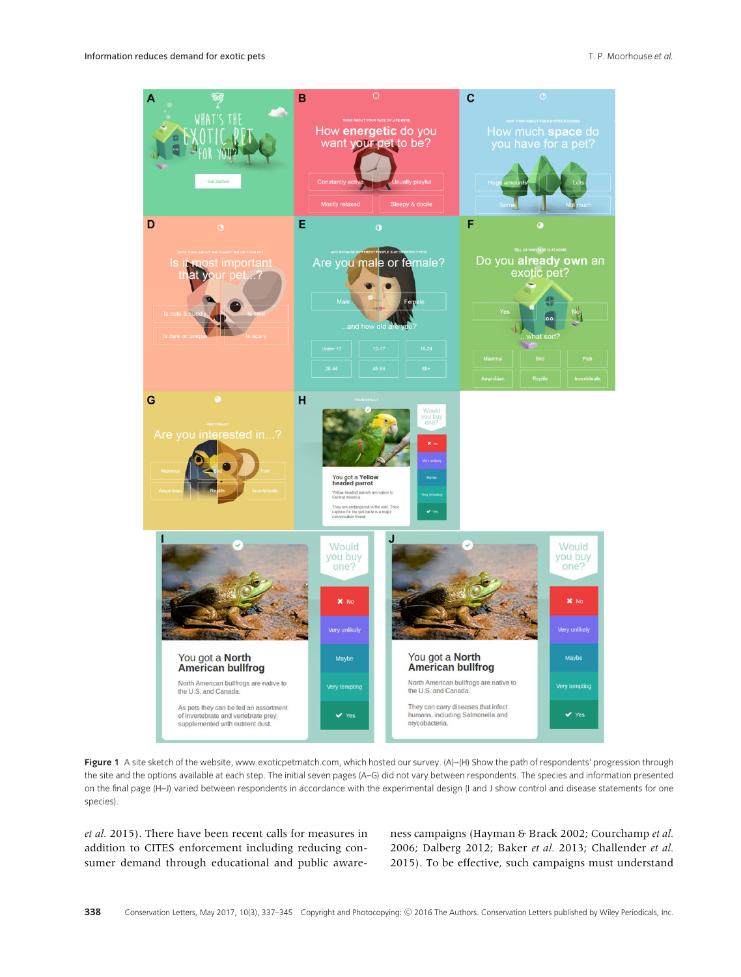

**Figure 1** A site sketch of the website, [www.exoticpetmatch.com,](http://www.exoticpetmatch.com) which hosted our survey. (A)–(H) Show the path of respondents' progression through the site and the options available at each step. The initial seven pages (A–G) did not vary between respondents. The species and information presented on the final page (H–J) varied between respondents in accordance with the experimental design (I and J show control and disease statements for one species).

*et al.* 2015). There have been recent calls for measures in addition to CITES enforcement including reducing consumer demand through educational and public awareness campaigns (Hayman & Brack 2002; Courchamp *et al.* 2006; Dalberg 2012; Baker *et al.* 2013; Challender *et al.* 2015). To be effective, such campaigns must understand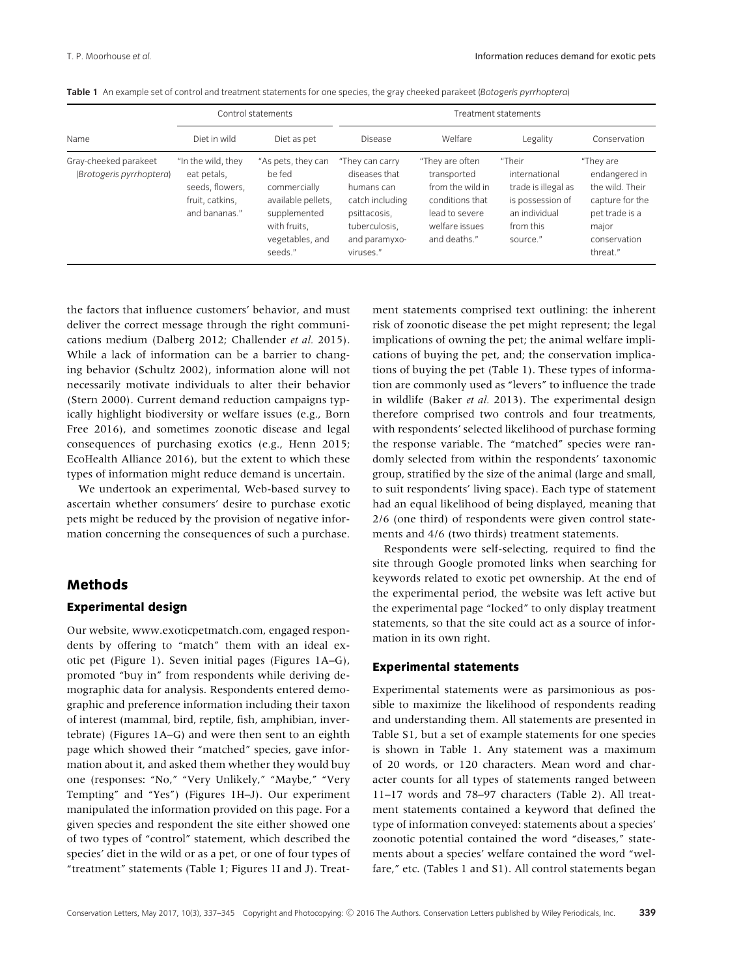|                                                   |                                                                                          | Control statements                                                                                                               | Treatment statements                                                                                                             |                                                                                                                           |                                                                                                              |                                                                                                                         |  |
|---------------------------------------------------|------------------------------------------------------------------------------------------|----------------------------------------------------------------------------------------------------------------------------------|----------------------------------------------------------------------------------------------------------------------------------|---------------------------------------------------------------------------------------------------------------------------|--------------------------------------------------------------------------------------------------------------|-------------------------------------------------------------------------------------------------------------------------|--|
| Name                                              | Diet in wild                                                                             | Diet as pet                                                                                                                      | <b>Disease</b>                                                                                                                   | Welfare                                                                                                                   | Legality                                                                                                     | Conservation                                                                                                            |  |
| Gray-cheeked parakeet<br>(Brotogeris pyrrhoptera) | "In the wild, they<br>eat petals,<br>seeds, flowers,<br>fruit, catkins,<br>and bananas." | "As pets, they can<br>be fed<br>commercially<br>available pellets.<br>supplemented<br>with fruits.<br>vegetables, and<br>seeds." | "They can carry<br>diseases that<br>humans can<br>catch including<br>psittacosis,<br>tuberculosis,<br>and paramyxo-<br>viruses." | "They are often<br>transported<br>from the wild in<br>conditions that<br>lead to severe<br>welfare issues<br>and deaths." | "Their<br>international<br>trade is illegal as<br>is possession of<br>an individual<br>from this<br>source." | "They are<br>endangered in<br>the wild. Their<br>capture for the<br>pet trade is a<br>major<br>conservation<br>threat." |  |

**Table 1** An example set of control and treatment statements for one species, the gray cheeked parakeet (*Botogeris pyrrhoptera*)

the factors that influence customers' behavior, and must deliver the correct message through the right communications medium (Dalberg 2012; Challender *et al.* 2015). While a lack of information can be a barrier to changing behavior (Schultz 2002), information alone will not necessarily motivate individuals to alter their behavior (Stern 2000). Current demand reduction campaigns typically highlight biodiversity or welfare issues (e.g., Born Free 2016), and sometimes zoonotic disease and legal consequences of purchasing exotics (e.g., Henn 2015; EcoHealth Alliance 2016), but the extent to which these types of information might reduce demand is uncertain.

We undertook an experimental, Web-based survey to ascertain whether consumers' desire to purchase exotic pets might be reduced by the provision of negative information concerning the consequences of such a purchase.

## **Methods**

### **Experimental design**

Our website, [www.exoticpetmatch.com,](http://www.exoticpetmatch.com) engaged respondents by offering to "match" them with an ideal exotic pet (Figure 1). Seven initial pages (Figures 1A–G), promoted "buy in" from respondents while deriving demographic data for analysis. Respondents entered demographic and preference information including their taxon of interest (mammal, bird, reptile, fish, amphibian, invertebrate) (Figures 1A–G) and were then sent to an eighth page which showed their "matched" species, gave information about it, and asked them whether they would buy one (responses: "No," "Very Unlikely," "Maybe," "Very Tempting" and "Yes") (Figures 1H–J). Our experiment manipulated the information provided on this page. For a given species and respondent the site either showed one of two types of "control" statement, which described the species' diet in the wild or as a pet, or one of four types of "treatment" statements (Table 1; Figures 1I and J). Treatment statements comprised text outlining: the inherent risk of zoonotic disease the pet might represent; the legal implications of owning the pet; the animal welfare implications of buying the pet, and; the conservation implications of buying the pet (Table 1). These types of information are commonly used as "levers" to influence the trade in wildlife (Baker *et al.* 2013). The experimental design therefore comprised two controls and four treatments, with respondents' selected likelihood of purchase forming the response variable. The "matched" species were randomly selected from within the respondents' taxonomic group, stratified by the size of the animal (large and small, to suit respondents' living space). Each type of statement had an equal likelihood of being displayed, meaning that 2/6 (one third) of respondents were given control statements and 4/6 (two thirds) treatment statements.

Respondents were self-selecting, required to find the site through Google promoted links when searching for keywords related to exotic pet ownership. At the end of the experimental period, the website was left active but the experimental page "locked" to only display treatment statements, so that the site could act as a source of information in its own right.

#### **Experimental statements**

Experimental statements were as parsimonious as possible to maximize the likelihood of respondents reading and understanding them. All statements are presented in Table S1, but a set of example statements for one species is shown in Table 1. Any statement was a maximum of 20 words, or 120 characters. Mean word and character counts for all types of statements ranged between 11–17 words and 78–97 characters (Table 2). All treatment statements contained a keyword that defined the type of information conveyed: statements about a species' zoonotic potential contained the word "diseases," statements about a species' welfare contained the word "welfare," etc. (Tables 1 and S1). All control statements began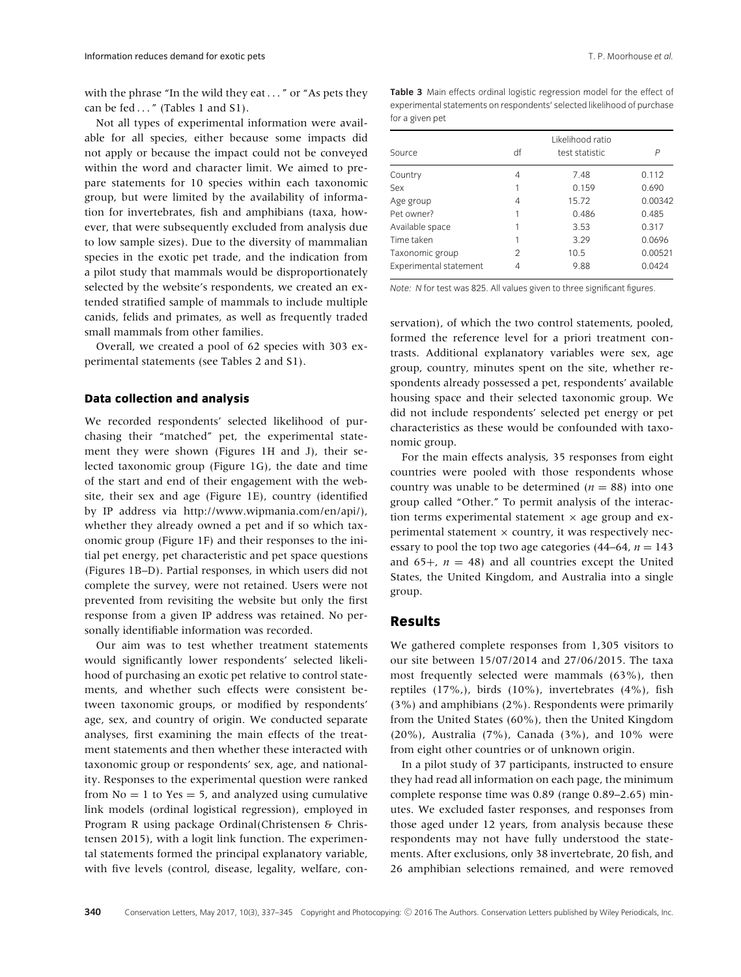with the phrase "In the wild they eat . . . " or "As pets they can be fed  $\dots$ " (Tables 1 and S1).

Not all types of experimental information were available for all species, either because some impacts did not apply or because the impact could not be conveyed within the word and character limit. We aimed to prepare statements for 10 species within each taxonomic group, but were limited by the availability of information for invertebrates, fish and amphibians (taxa, however, that were subsequently excluded from analysis due to low sample sizes). Due to the diversity of mammalian species in the exotic pet trade, and the indication from a pilot study that mammals would be disproportionately selected by the website's respondents, we created an extended stratified sample of mammals to include multiple canids, felids and primates, as well as frequently traded small mammals from other families.

Overall, we created a pool of 62 species with 303 experimental statements (see Tables 2 and S1).

## **Data collection and analysis**

We recorded respondents' selected likelihood of purchasing their "matched" pet, the experimental statement they were shown (Figures 1H and J), their selected taxonomic group (Figure 1G), the date and time of the start and end of their engagement with the website, their sex and age (Figure 1E), country (identified by IP address via [http://www.wipmania.com/en/api/\)](http://www.wipmania.com/en/api/), whether they already owned a pet and if so which taxonomic group (Figure 1F) and their responses to the initial pet energy, pet characteristic and pet space questions (Figures 1B–D). Partial responses, in which users did not complete the survey, were not retained. Users were not prevented from revisiting the website but only the first response from a given IP address was retained. No personally identifiable information was recorded.

Our aim was to test whether treatment statements would significantly lower respondents' selected likelihood of purchasing an exotic pet relative to control statements, and whether such effects were consistent between taxonomic groups, or modified by respondents' age, sex, and country of origin. We conducted separate analyses, first examining the main effects of the treatment statements and then whether these interacted with taxonomic group or respondents' sex, age, and nationality. Responses to the experimental question were ranked from  $No = 1$  to  $Yes = 5$ , and analyzed using cumulative link models (ordinal logistical regression), employed in Program R using package Ordinal(Christensen & Christensen 2015), with a logit link function. The experimental statements formed the principal explanatory variable, with five levels (control, disease, legality, welfare, con**Table 3** Main effects ordinal logistic regression model for the effect of experimental statements on respondents' selected likelihood of purchase for a given pet

| Source                 | df | P     |         |
|------------------------|----|-------|---------|
| Country                | 4  | 7.48  | 0.112   |
| Sex                    |    | 0.159 | 0.690   |
| Age group              | 4  | 15.72 | 0.00342 |
| Pet owner?             |    | 0.486 | 0.485   |
| Available space        |    | 3.53  | 0.317   |
| Time taken             |    | 3.29  | 0.0696  |
| Taxonomic group        | 2  | 10.5  | 0.00521 |
| Experimental statement | 4  | 9.88  | 0.0424  |

*Note: N* for test was 825. All values given to three significant figures.

servation), of which the two control statements, pooled, formed the reference level for a priori treatment contrasts. Additional explanatory variables were sex, age group, country, minutes spent on the site, whether respondents already possessed a pet, respondents' available housing space and their selected taxonomic group. We did not include respondents' selected pet energy or pet characteristics as these would be confounded with taxonomic group.

For the main effects analysis, 35 responses from eight countries were pooled with those respondents whose country was unable to be determined ( $n = 88$ ) into one group called "Other." To permit analysis of the interaction terms experimental statement  $\times$  age group and experimental statement  $\times$  country, it was respectively necessary to pool the top two age categories  $(44-64, n = 143)$ and  $65+$ ,  $n = 48$ ) and all countries except the United States, the United Kingdom, and Australia into a single group.

## **Results**

We gathered complete responses from 1,305 visitors to our site between 15/07/2014 and 27/06/2015. The taxa most frequently selected were mammals (63%), then reptiles (17%,), birds (10%), invertebrates (4%), fish (3%) and amphibians (2%). Respondents were primarily from the United States (60%), then the United Kingdom (20%), Australia (7%), Canada (3%), and 10% were from eight other countries or of unknown origin.

In a pilot study of 37 participants, instructed to ensure they had read all information on each page, the minimum complete response time was 0.89 (range 0.89–2.65) minutes. We excluded faster responses, and responses from those aged under 12 years, from analysis because these respondents may not have fully understood the statements. After exclusions, only 38 invertebrate, 20 fish, and 26 amphibian selections remained, and were removed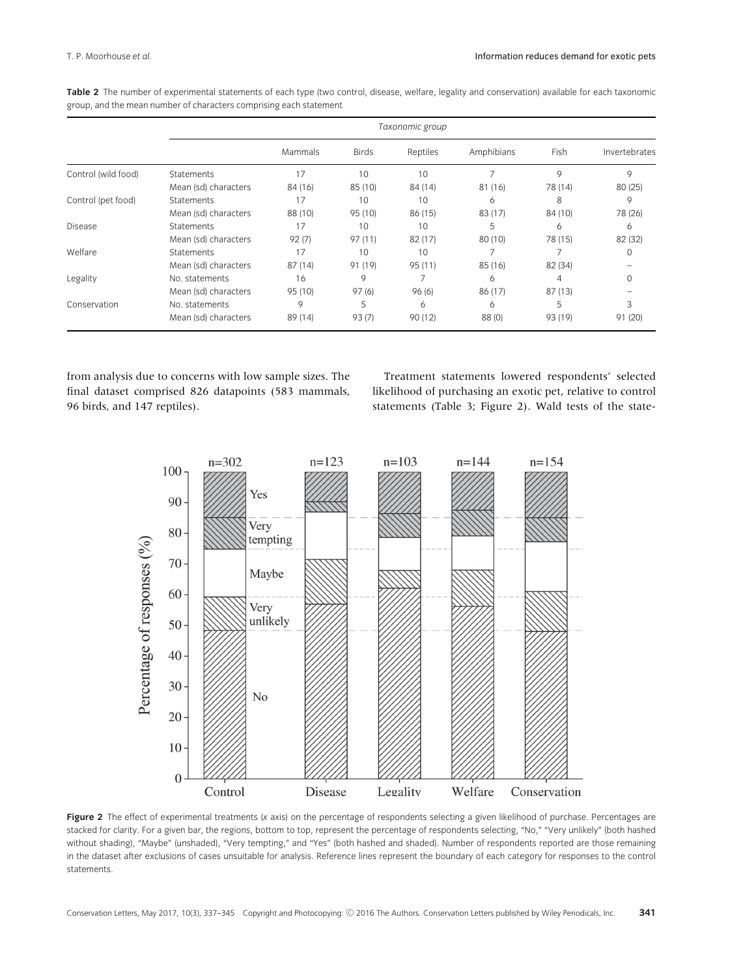| Table 2 The number of experimental statements of each type (two control, disease, welfare, legality and conservation) available for each taxonomic |  |  |  |  |  |
|----------------------------------------------------------------------------------------------------------------------------------------------------|--|--|--|--|--|
| group, and the mean number of characters comprising each statement                                                                                 |  |  |  |  |  |

|                     | Taxonomic group      |         |              |          |            |         |               |
|---------------------|----------------------|---------|--------------|----------|------------|---------|---------------|
|                     |                      | Mammals | <b>Birds</b> | Reptiles | Amphibians | Fish    | Invertebrates |
| Control (wild food) | <b>Statements</b>    | 17      | 10           | 10       |            | 9       | 9             |
|                     | Mean (sd) characters | 84 (16) | 85 (10)      | 84 (14)  | 81 (16)    | 78 (14) | 80(25)        |
| Control (pet food)  | <b>Statements</b>    | 17      | 10           | 10       | 6          | 8       | 9             |
|                     | Mean (sd) characters | 88 (10) | 95 (10)      | 86 (15)  | 83 (17)    | 84 (10) | 78 (26)       |
| <b>Disease</b>      | <b>Statements</b>    | 17      | 10           | 10       | 5          | 6       | 6             |
|                     | Mean (sd) characters | 92(7)   | 97(11)       | 82(17)   | 80 (10)    | 78 (15) | 82 (32)       |
| Welfare             | <b>Statements</b>    | 17      | 10           | 10       | ᄀ          |         |               |
|                     | Mean (sd) characters | 87 (14) | 91 (19)      | 95(11)   | 85 (16)    | 82 (34) |               |
| Legality            | No. statements       | 16      | 9            |          | 6          | 4       |               |
|                     | Mean (sd) characters | 95 (10) | 97(6)        | 96(6)    | 86 (17)    | 87(13)  |               |
| Conservation        | No. statements       | 9       | 5            | 6        | 6          | 5       | 3             |
|                     | Mean (sd) characters | 89 (14) | 93(7)        | 90 (12)  | 88 (0)     | 93 (19) | 91 (20)       |

from analysis due to concerns with low sample sizes. The final dataset comprised 826 datapoints (583 mammals, 96 birds, and 147 reptiles).

Treatment statements lowered respondents' selected likelihood of purchasing an exotic pet, relative to control statements (Table 3; Figure 2). Wald tests of the state-



**Figure 2** The effect of experimental treatments (*x* axis) on the percentage of respondents selecting a given likelihood of purchase. Percentages are stacked for clarity. For a given bar, the regions, bottom to top, represent the percentage of respondents selecting, "No," "Very unlikely" (both hashed without shading), "Maybe" (unshaded), "Very tempting," and "Yes" (both hashed and shaded). Number of respondents reported are those remaining in the dataset after exclusions of cases unsuitable for analysis. Reference lines represent the boundary of each category for responses to the control statements.

Conservation Letters, May 2017, 10(3), 337–345 Copyright and Photocopying: © 2016 The Authors. Conservation Letters published by Wiley Periodicals, Inc. **341**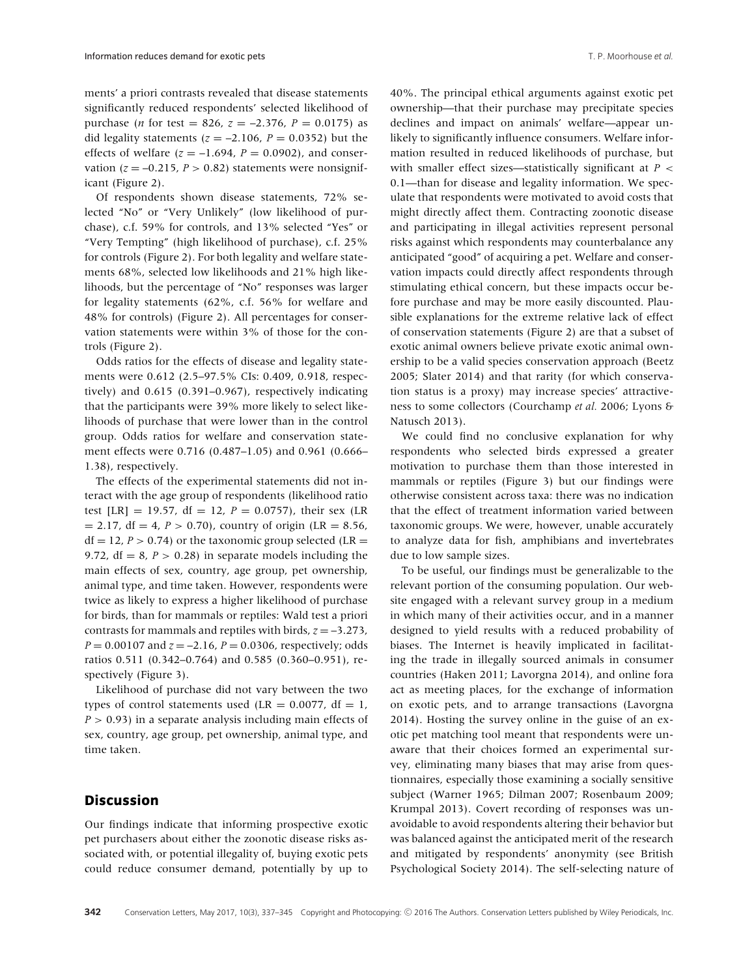ments' a priori contrasts revealed that disease statements significantly reduced respondents' selected likelihood of purchase (*n* for test = 826,  $z = -2.376$ ,  $P = 0.0175$ ) as did legality statements  $(z = -2.106, P = 0.0352)$  but the effects of welfare  $(z = -1.694, P = 0.0902)$ , and conservation ( $z = -0.215$ ,  $P > 0.82$ ) statements were nonsignificant (Figure 2).

Of respondents shown disease statements, 72% selected "No" or "Very Unlikely" (low likelihood of purchase), c.f. 59% for controls, and 13% selected "Yes" or "Very Tempting" (high likelihood of purchase), c.f. 25% for controls (Figure 2). For both legality and welfare statements 68%, selected low likelihoods and 21% high likelihoods, but the percentage of "No" responses was larger for legality statements (62%, c.f. 56% for welfare and 48% for controls) (Figure 2). All percentages for conservation statements were within 3% of those for the controls (Figure 2).

Odds ratios for the effects of disease and legality statements were 0.612 (2.5–97.5% CIs: 0.409, 0.918, respectively) and 0.615 (0.391–0.967), respectively indicating that the participants were 39% more likely to select likelihoods of purchase that were lower than in the control group. Odds ratios for welfare and conservation statement effects were 0.716 (0.487–1.05) and 0.961 (0.666– 1.38), respectively.

The effects of the experimental statements did not interact with the age group of respondents (likelihood ratio test [LR] = 19.57, df = 12,  $P = 0.0757$ ), their sex (LR  $= 2.17$ , df  $= 4$ ,  $P > 0.70$ ), country of origin (LR  $= 8.56$ ,  $df = 12$ ,  $P > 0.74$ ) or the taxonomic group selected (LR = 9.72,  $df = 8$ ,  $P > 0.28$ ) in separate models including the main effects of sex, country, age group, pet ownership, animal type, and time taken. However, respondents were twice as likely to express a higher likelihood of purchase for birds, than for mammals or reptiles: Wald test a priori contrasts for mammals and reptiles with birds,  $z = -3.273$ , *P* = 0.00107 and *z* = –2.16, *P* = 0.0306, respectively; odds ratios 0.511 (0.342–0.764) and 0.585 (0.360–0.951), respectively (Figure 3).

Likelihood of purchase did not vary between the two types of control statements used (LR =  $0.0077$ , df = 1, *P >* 0.93) in a separate analysis including main effects of sex, country, age group, pet ownership, animal type, and time taken.

# **Discussion**

Our findings indicate that informing prospective exotic pet purchasers about either the zoonotic disease risks associated with, or potential illegality of, buying exotic pets could reduce consumer demand, potentially by up to 40%. The principal ethical arguments against exotic pet ownership—that their purchase may precipitate species declines and impact on animals' welfare—appear unlikely to significantly influence consumers. Welfare information resulted in reduced likelihoods of purchase, but with smaller effect sizes—statistically significant at *P <* 0.1—than for disease and legality information. We speculate that respondents were motivated to avoid costs that might directly affect them. Contracting zoonotic disease and participating in illegal activities represent personal risks against which respondents may counterbalance any anticipated "good" of acquiring a pet. Welfare and conservation impacts could directly affect respondents through stimulating ethical concern, but these impacts occur before purchase and may be more easily discounted. Plausible explanations for the extreme relative lack of effect of conservation statements (Figure 2) are that a subset of exotic animal owners believe private exotic animal ownership to be a valid species conservation approach (Beetz 2005; Slater 2014) and that rarity (for which conservation status is a proxy) may increase species' attractiveness to some collectors (Courchamp *et al.* 2006; Lyons & Natusch 2013).

We could find no conclusive explanation for why respondents who selected birds expressed a greater motivation to purchase them than those interested in mammals or reptiles (Figure 3) but our findings were otherwise consistent across taxa: there was no indication that the effect of treatment information varied between taxonomic groups. We were, however, unable accurately to analyze data for fish, amphibians and invertebrates due to low sample sizes.

To be useful, our findings must be generalizable to the relevant portion of the consuming population. Our website engaged with a relevant survey group in a medium in which many of their activities occur, and in a manner designed to yield results with a reduced probability of biases. The Internet is heavily implicated in facilitating the trade in illegally sourced animals in consumer countries (Haken 2011; Lavorgna 2014), and online fora act as meeting places, for the exchange of information on exotic pets, and to arrange transactions (Lavorgna 2014). Hosting the survey online in the guise of an exotic pet matching tool meant that respondents were unaware that their choices formed an experimental survey, eliminating many biases that may arise from questionnaires, especially those examining a socially sensitive subject (Warner 1965; Dilman 2007; Rosenbaum 2009; Krumpal 2013). Covert recording of responses was unavoidable to avoid respondents altering their behavior but was balanced against the anticipated merit of the research and mitigated by respondents' anonymity (see British Psychological Society 2014). The self-selecting nature of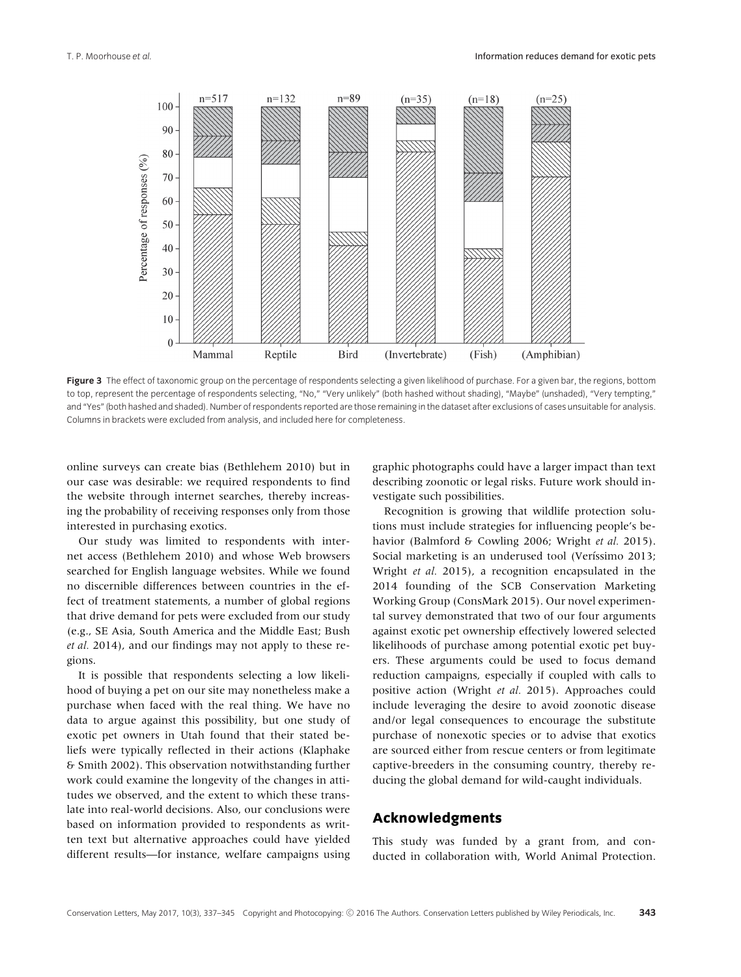

Figure 3 The effect of taxonomic group on the percentage of respondents selecting a given likelihood of purchase. For a given bar, the regions, bottom to top, represent the percentage of respondents selecting, "No," "Very unlikely" (both hashed without shading), "Maybe" (unshaded), "Very tempting," and "Yes" (both hashed and shaded). Number of respondents reported are those remaining in the dataset after exclusions of cases unsuitable for analysis. Columns in brackets were excluded from analysis, and included here for completeness.

online surveys can create bias (Bethlehem 2010) but in our case was desirable: we required respondents to find the website through internet searches, thereby increasing the probability of receiving responses only from those interested in purchasing exotics.

Our study was limited to respondents with internet access (Bethlehem 2010) and whose Web browsers searched for English language websites. While we found no discernible differences between countries in the effect of treatment statements, a number of global regions that drive demand for pets were excluded from our study (e.g., SE Asia, South America and the Middle East; Bush *et al.* 2014), and our findings may not apply to these regions.

It is possible that respondents selecting a low likelihood of buying a pet on our site may nonetheless make a purchase when faced with the real thing. We have no data to argue against this possibility, but one study of exotic pet owners in Utah found that their stated beliefs were typically reflected in their actions (Klaphake & Smith 2002). This observation notwithstanding further work could examine the longevity of the changes in attitudes we observed, and the extent to which these translate into real-world decisions. Also, our conclusions were based on information provided to respondents as written text but alternative approaches could have yielded different results—for instance, welfare campaigns using

graphic photographs could have a larger impact than text describing zoonotic or legal risks. Future work should investigate such possibilities.

Recognition is growing that wildlife protection solutions must include strategies for influencing people's behavior (Balmford & Cowling 2006; Wright *et al.* 2015). Social marketing is an underused tool (Veríssimo 2013; Wright *et al.* 2015), a recognition encapsulated in the 2014 founding of the SCB Conservation Marketing Working Group (ConsMark 2015). Our novel experimental survey demonstrated that two of our four arguments against exotic pet ownership effectively lowered selected likelihoods of purchase among potential exotic pet buyers. These arguments could be used to focus demand reduction campaigns, especially if coupled with calls to positive action (Wright *et al.* 2015). Approaches could include leveraging the desire to avoid zoonotic disease and/or legal consequences to encourage the substitute purchase of nonexotic species or to advise that exotics are sourced either from rescue centers or from legitimate captive-breeders in the consuming country, thereby reducing the global demand for wild-caught individuals.

# **Acknowledgments**

This study was funded by a grant from, and conducted in collaboration with, World Animal Protection.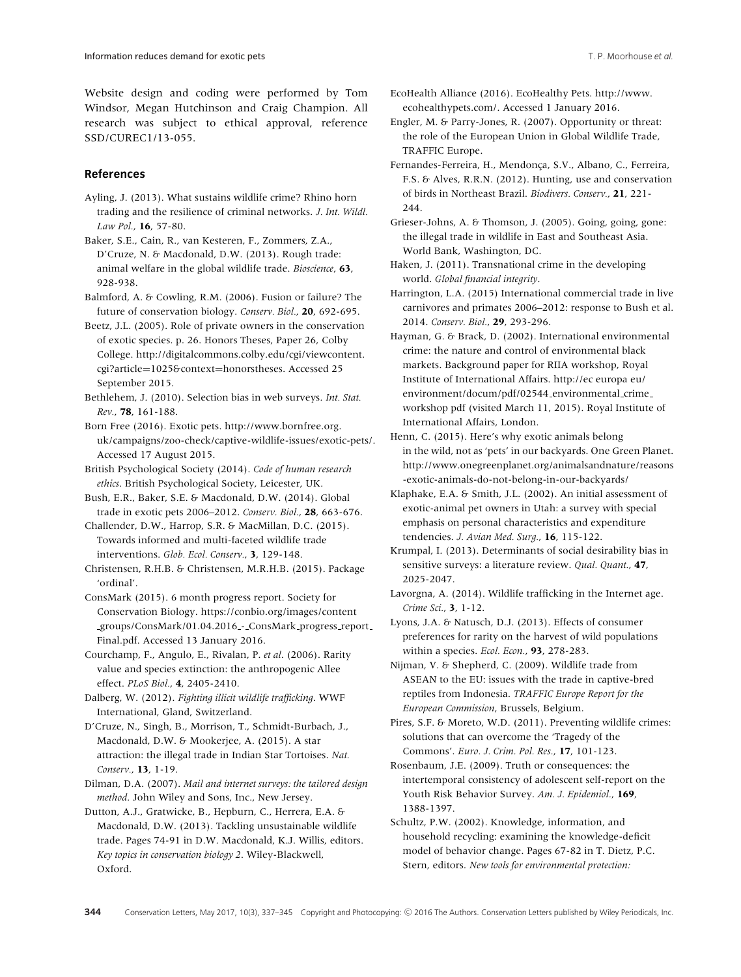Website design and coding were performed by Tom Windsor, Megan Hutchinson and Craig Champion. All research was subject to ethical approval, reference SSD/CUREC1/13-055.

#### **References**

- Ayling, J. (2013). What sustains wildlife crime? Rhino horn trading and the resilience of criminal networks. *J. Int. Wildl. Law Pol.*, **16**, 57-80.
- Baker, S.E., Cain, R., van Kesteren, F., Zommers, Z.A., D'Cruze, N. & Macdonald, D.W. (2013). Rough trade: animal welfare in the global wildlife trade. *Bioscience*, **63**, 928-938.
- Balmford, A. & Cowling, R.M. (2006). Fusion or failure? The future of conservation biology. *Conserv. Biol.*, **20**, 692-695.
- Beetz, J.L. (2005). Role of private owners in the conservation of exotic species. p. 26. Honors Theses, Paper 26, Colby College. [http://digitalcommons.colby.edu/cgi/viewcontent.](http://digitalcommons.colby.edu/cgi/viewcontent.cgi?article=1025context=honorstheses) cgi?article=[1025&context](http://digitalcommons.colby.edu/cgi/viewcontent.cgi?article=1025context=honorstheses)=honorstheses. Accessed 25 September 2015.
- Bethlehem, J. (2010). Selection bias in web surveys. *Int. Stat. Rev.*, **78**, 161-188.
- Born Free (2016). Exotic pets. [http://www.bornfree.org.](http://www.bornfree.org.uk/campaigns/zoo-check/captive-wildlife-issues/exotic-pets/) [uk/campaigns/zoo-check/captive-wildlife-issues/exotic-pets/.](http://www.bornfree.org.uk/campaigns/zoo-check/captive-wildlife-issues/exotic-pets/) Accessed 17 August 2015.
- British Psychological Society (2014). *Code of human research ethics*. British Psychological Society, Leicester, UK.
- Bush, E.R., Baker, S.E. & Macdonald, D.W. (2014). Global trade in exotic pets 2006–2012. *Conserv. Biol.*, **28**, 663-676.
- Challender, D.W., Harrop, S.R. & MacMillan, D.C. (2015). Towards informed and multi-faceted wildlife trade interventions. *Glob. Ecol. Conserv.*, **3**, 129-148.
- Christensen, R.H.B. & Christensen, M.R.H.B. (2015). Package 'ordinal'.
- ConsMark (2015). 6 month progress report. Society for Conservation Biology. [https://conbio.org/images/content](https://conbio.org/images/content_groups/ConsMark/01.04.2016_-_ConsMark_progress_report_Final.pdf) [groups/ConsMark/01.04.2016](https://conbio.org/images/content_groups/ConsMark/01.04.2016_-_ConsMark_progress_report_Final.pdf) - ConsMark progress report [Final.pdf.](https://conbio.org/images/content_groups/ConsMark/01.04.2016_-_ConsMark_progress_report_Final.pdf) Accessed 13 January 2016.
- Courchamp, F., Angulo, E., Rivalan, P. *et al*. (2006). Rarity value and species extinction: the anthropogenic Allee effect. *PLoS Biol.*, **4**, 2405-2410.
- Dalberg, W. (2012). *Fighting illicit wildlife trafficking*. WWF International, Gland, Switzerland.
- D'Cruze, N., Singh, B., Morrison, T., Schmidt-Burbach, J., Macdonald, D.W. & Mookerjee, A. (2015). A star attraction: the illegal trade in Indian Star Tortoises. *Nat. Conserv.*, **13**, 1-19.
- Dilman, D.A. (2007). *Mail and internet surveys: the tailored design method*. John Wiley and Sons, Inc., New Jersey.
- Dutton, A.J., Gratwicke, B., Hepburn, C., Herrera, E.A. & Macdonald, D.W. (2013). Tackling unsustainable wildlife trade. Pages 74-91 in D.W. Macdonald, K.J. Willis, editors. *Key topics in conservation biology 2*. Wiley-Blackwell, Oxford.
- EcoHealth Alliance (2016). EcoHealthy Pets. [http://www.](http://www.ecohealthypets.com/) [ecohealthypets.com/.](http://www.ecohealthypets.com/) Accessed 1 January 2016.
- Engler, M. & Parry-Jones, R. (2007). Opportunity or threat: the role of the European Union in Global Wildlife Trade, TRAFFIC Europe.
- Fernandes-Ferreira, H., Mendonça, S.V., Albano, C., Ferreira, F.S. & Alves, R.R.N. (2012). Hunting, use and conservation of birds in Northeast Brazil. *Biodivers. Conserv.*, **21**, 221- 244.
- Grieser-Johns, A. & Thomson, J. (2005). Going, going, gone: the illegal trade in wildlife in East and Southeast Asia. World Bank, Washington, DC.
- Haken, J. (2011). Transnational crime in the developing world. *Global financial integrity*.
- Harrington, L.A. (2015) International commercial trade in live carnivores and primates 2006–2012: response to Bush et al. 2014. *Conserv. Biol.*, **29**, 293-296.
- Hayman, G. & Brack, D. (2002). International environmental crime: the nature and control of environmental black markets. Background paper for RIIA workshop, Royal Institute of International Affairs. [http://ec europa eu/](http://ec europa eu/environment/docum/pdf/02544_environmental_crime_workshop pdf) [environment/docum/pdf/02544](http://ec europa eu/environment/docum/pdf/02544_environmental_crime_workshop pdf) environmental crime [workshop pdf](http://ec europa eu/environment/docum/pdf/02544_environmental_crime_workshop pdf) (visited March 11, 2015). Royal Institute of International Affairs, London.
- Henn, C. (2015). Here's why exotic animals belong in the wild, not as 'pets' in our backyards. One Green Planet. [http://www.onegreenplanet.org/animalsandnature/reasons](http://www.onegreenplanet.org/animalsandnature/reasons-exotic-animals-do-not-belong-in-our-backyards/) [-exotic-animals-do-not-belong-in-our-backyards/](http://www.onegreenplanet.org/animalsandnature/reasons-exotic-animals-do-not-belong-in-our-backyards/)
- Klaphake, E.A. & Smith, J.L. (2002). An initial assessment of exotic-animal pet owners in Utah: a survey with special emphasis on personal characteristics and expenditure tendencies. *J. Avian Med. Surg.*, **16**, 115-122.
- Krumpal, I. (2013). Determinants of social desirability bias in sensitive surveys: a literature review. *Qual. Quant.*, **47**, 2025-2047.
- Lavorgna, A. (2014). Wildlife trafficking in the Internet age. *Crime Sci.*, **3**, 1-12.
- Lyons, J.A. & Natusch, D.J. (2013). Effects of consumer preferences for rarity on the harvest of wild populations within a species. *Ecol. Econ.*, **93**, 278-283.
- Nijman, V. & Shepherd, C. (2009). Wildlife trade from ASEAN to the EU: issues with the trade in captive-bred reptiles from Indonesia. *TRAFFIC Europe Report for the European Commission*, Brussels, Belgium.
- Pires, S.F. & Moreto, W.D. (2011). Preventing wildlife crimes: solutions that can overcome the 'Tragedy of the Commons'. *Euro. J. Crim. Pol. Res.*, **17**, 101-123.
- Rosenbaum, J.E. (2009). Truth or consequences: the intertemporal consistency of adolescent self-report on the Youth Risk Behavior Survey. *Am. J. Epidemiol.*, **169**, 1388-1397.
- Schultz, P.W. (2002). Knowledge, information, and household recycling: examining the knowledge-deficit model of behavior change. Pages 67-82 in T. Dietz, P.C. Stern, editors. *New tools for environmental protection:*